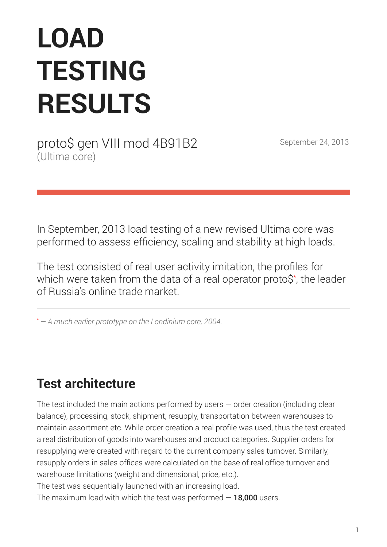# **LOAD TESTING RESULTS**

proto\$ gen VIII mod 4B91B2 September 24, 2013 (Ultima core)

In September, 2013 load testing of a new revised Ultima core was performed to assess efficiency, scaling and stability at high loads.

The test consisted of real user activity imitation, the profiles for which were taken from the data of a real operator proto\$\* , the leader of Russia's online trade market.

\**— A much earlier prototype on the Londinium core, 2004.*

# **Test architecture**

The test included the main actions performed by users  $-$  order creation (including clear balance), processing, stock, shipment, resupply, transportation between warehouses to maintain assortment etc. While order creation a real profile was used, thus the test created a real distribution of goods into warehouses and product categories. Supplier orders for resupplying were created with regard to the current company sales turnover. Similarly, resupply orders in sales offices were calculated on the base of real office turnover and warehouse limitations (weight and dimensional, price, etc.).

The test was sequentially launched with an increasing load.

The maximum load with which the test was performed  $-18,000$  users.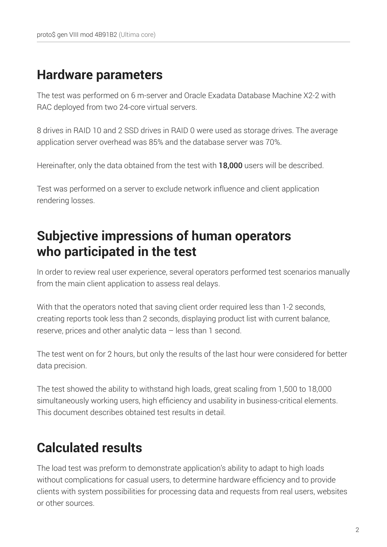# **Hardware parameters**

The test was performed on 6 m-server and Oracle Exadata Database Machine X2-2 with RAC deployed from two 24-core virtual servers.

8 drives in RAID 10 and 2 SSD drives in RAID 0 were used as storage drives. The average application server overhead was 85% and the database server was 70%.

Hereinafter, only the data obtained from the test with 18,000 users will be described.

Test was performed on a server to exclude network influence and client application rendering losses.

# **Subjective impressions of human operators who participated in the test**

In order to review real user experience, several operators performed test scenarios manually from the main client application to assess real delays.

With that the operators noted that saving client order required less than 1-2 seconds, creating reports took less than 2 seconds, displaying product list with current balance, reserve, prices and other analytic data – less than 1 second.

The test went on for 2 hours, but only the results of the last hour were considered for better data precision.

The test showed the ability to withstand high loads, great scaling from 1,500 to 18,000 simultaneously working users, high efficiency and usability in business-critical elements. This document describes obtained test results in detail.

# **Calculated results**

The load test was preform to demonstrate application's ability to adapt to high loads without complications for casual users, to determine hardware efficiency and to provide clients with system possibilities for processing data and requests from real users, websites or other sources.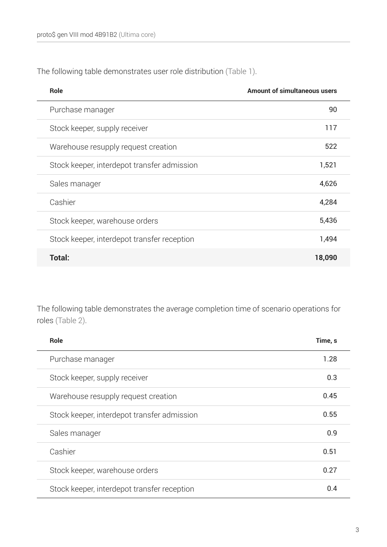The following table demonstrates user role distribution (Table 1).

| <b>Role</b>                                 | <b>Amount of simultaneous users</b> |
|---------------------------------------------|-------------------------------------|
| Purchase manager                            | 90                                  |
| Stock keeper, supply receiver               | 117                                 |
| Warehouse resupply request creation         | 522                                 |
| Stock keeper, interdepot transfer admission | 1,521                               |
| Sales manager                               | 4,626                               |
| Cashier                                     | 4,284                               |
| Stock keeper, warehouse orders              | 5,436                               |
| Stock keeper, interdepot transfer reception | 1,494                               |
| Total:                                      | 18,090                              |

The following table demonstrates the average completion time of scenario operations for roles (Table 2).

| <b>Role</b>                                 | Time, s |
|---------------------------------------------|---------|
| Purchase manager                            | 1.28    |
| Stock keeper, supply receiver               | 0.3     |
| Warehouse resupply request creation         | 0.45    |
| Stock keeper, interdepot transfer admission | 0.55    |
| Sales manager                               | 0.9     |
| Cashier                                     | 0.51    |
| Stock keeper, warehouse orders              | 0.27    |
| Stock keeper, interdepot transfer reception | 0.4     |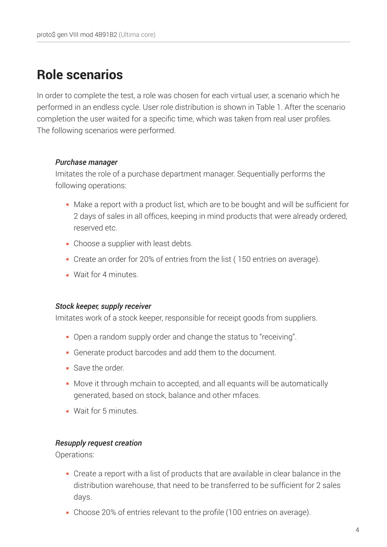# **Role scenarios**

In order to complete the test, a role was chosen for each virtual user, a scenario which he performed in an endless cycle. User role distribution is shown in Table 1. After the scenario completion the user waited for a specific time, which was taken from real user profiles. The following scenarios were performed.

### *Purchase manager*

Imitates the role of a purchase department manager. Sequentially performs the following operations:

- Make a report with a product list, which are to be bought and will be sufficient for 2 days of sales in all offices, keeping in mind products that were already ordered, reserved etc.
- Choose a supplier with least debts.
- Create an order for 20% of entries from the list ( 150 entries on average).
- **Wait for 4 minutes.**

### *Stock keeper, supply receiver*

Imitates work of a stock keeper, responsible for receipt goods from suppliers.

- Open a random supply order and change the status to "receiving".
- Generate product barcodes and add them to the document.
- Save the order
- Move it through mchain to accepted, and all equants will be automatically generated, based on stock, balance and other mfaces.
- **Wait for 5 minutes**

### *Resupply request creation*

Operations:

- Create a report with a list of products that are available in clear balance in the distribution warehouse, that need to be transferred to be sufficient for 2 sales days.
- Choose 20% of entries relevant to the profile (100 entries on average).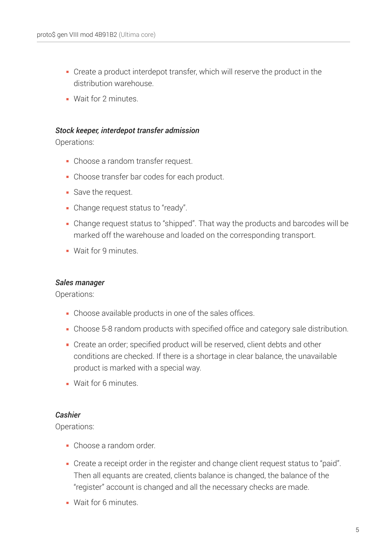- Create a product interdepot transfer, which will reserve the product in the distribution warehouse.
- **Wait for 2 minutes**

### *Stock keeper, interdepot transfer admission*

Operations:

- Choose a random transfer request.
- Choose transfer bar codes for each product.
- Save the request.
- Change request status to "ready".
- Change request status to "shipped". That way the products and barcodes will be marked off the warehouse and loaded on the corresponding transport.
- **Wait for 9 minutes.**

### *Sales manager*

Operations:

- Choose available products in one of the sales offices.
- Choose 5-8 random products with specified office and category sale distribution.
- Create an order; specified product will be reserved, client debts and other conditions are checked. If there is a shortage in clear balance, the unavailable product is marked with a special way.
- **Wait for 6 minutes**

### *Cashier*

Operations:

- Choose a random order.
- Create a receipt order in the register and change client request status to "paid". Then all equants are created, clients balance is changed, the balance of the "register" account is changed and all the necessary checks are made.
- **Wait for 6 minutes.**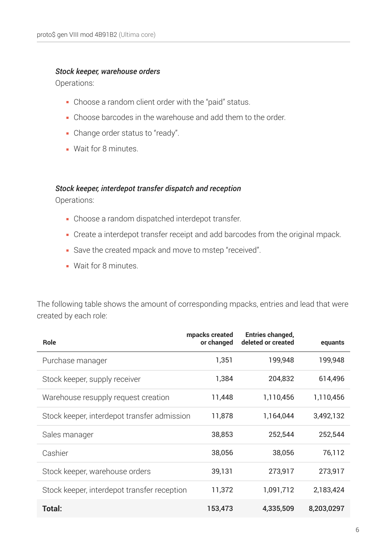### *Stock keeper, warehouse orders*

Operations:

- Choose a random client order with the "paid" status.
- Choose barcodes in the warehouse and add them to the order.
- Change order status to "ready".
- **Wait for 8 minutes.**

### *Stock keeper, interdepot transfer dispatch and reception*

Operations:

- Choose a random dispatched interdepot transfer.
- Create a interdepot transfer receipt and add barcodes from the original mpack.
- Save the created mpack and move to mstep "received".
- **Wait for 8 minutes.**

The following table shows the amount of corresponding mpacks, entries and lead that were created by each role:

| <b>Role</b>                                 | mpacks created<br>or changed | <b>Entries changed,</b><br>deleted or created | equants    |
|---------------------------------------------|------------------------------|-----------------------------------------------|------------|
| Purchase manager                            | 1,351                        | 199,948                                       | 199,948    |
| Stock keeper, supply receiver               | 1,384                        | 204,832                                       | 614,496    |
| Warehouse resupply request creation         | 11,448                       | 1,110,456                                     | 1,110,456  |
| Stock keeper, interdepot transfer admission | 11,878                       | 1,164,044                                     | 3,492,132  |
| Sales manager                               | 38,853                       | 252,544                                       | 252,544    |
| Cashier                                     | 38,056                       | 38,056                                        | 76,112     |
| Stock keeper, warehouse orders              | 39,131                       | 273,917                                       | 273,917    |
| Stock keeper, interdepot transfer reception | 11,372                       | 1,091,712                                     | 2,183,424  |
| Total:                                      | 153,473                      | 4,335,509                                     | 8,203,0297 |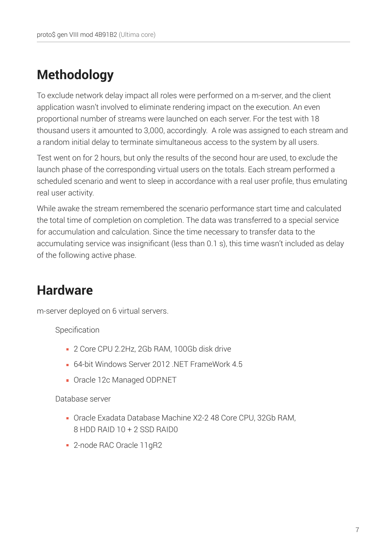# **Methodology**

To exclude network delay impact all roles were performed on a m-server, and the client application wasn't involved to eliminate rendering impact on the execution. An even proportional number of streams were launched on each server. For the test with 18 thousand users it amounted to 3,000, accordingly. A role was assigned to each stream and a random initial delay to terminate simultaneous access to the system by all users.

Test went on for 2 hours, but only the results of the second hour are used, to exclude the launch phase of the corresponding virtual users on the totals. Each stream performed a scheduled scenario and went to sleep in accordance with a real user profile, thus emulating real user activity.

While awake the stream remembered the scenario performance start time and calculated the total time of completion on completion. The data was transferred to a special service for accumulation and calculation. Since the time necessary to transfer data to the accumulating service was insignificant (less than 0.1 s), this time wasn't included as delay of the following active phase.

# **Hardware**

m-server deployed on 6 virtual servers.

Specification

- 2 Core CPU 2.2Hz, 2Gb RAM, 100Gb disk drive
- **64-bit Windows Server 2012 NFT FrameWork 4.5**
- Oracle 12c Managed ODP.NET

Database server

- Oracle Exadata Database Machine X2-2 48 Core CPU, 32Gb RAM, 8 HDD RAID 10 + 2 SSD RAID0
- 2-node RAC Oracle 11gR2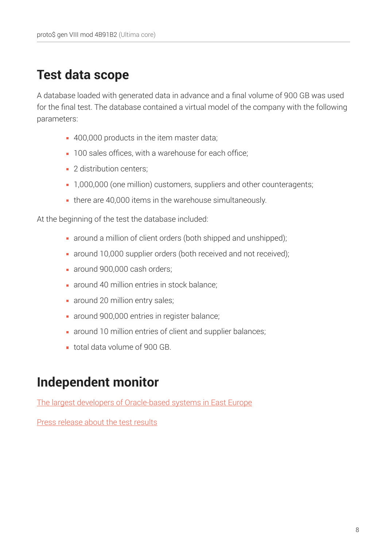# **Test data scope**

A database loaded with generated data in advance and a final volume of 900 GB was used for the final test. The database contained a virtual model of the company with the following parameters:

- 400,000 products in the item master data;
- **100 sales offices, with a warehouse for each office:**
- 2 distribution centers:
- 1,000,000 (one million) customers, suppliers and other counteragents;
- there are 40,000 items in the warehouse simultaneously.

At the beginning of the test the database included:

- around a million of client orders (both shipped and unshipped);
- around 10,000 supplier orders (both received and not received);
- around 900,000 cash orders;
- **around 40 million entries in stock balance;**
- **around 20 million entry sales;**
- **around 900,000 entries in register balance;**
- around 10 million entries of client and supplier balances;
- total data volume of 900 GB.

# **Independent monitor**

[The largest developers of Oracle-based systems in East Europe](http://fors.com/en/about/fors/)

[Press release about the test results](http://www.partner.fors.ru/news/1817/)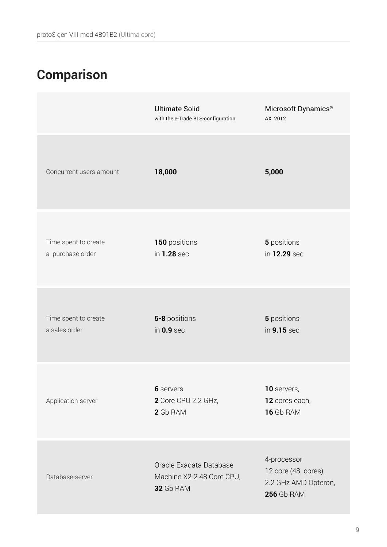# **Comparison**

|                                          | <b>Ultimate Solid</b><br>with the e-Trade BLS-configuration       | Microsoft Dynamics <sup>®</sup><br>AX 2012                                      |
|------------------------------------------|-------------------------------------------------------------------|---------------------------------------------------------------------------------|
| Concurrent users amount                  | 18,000                                                            | 5,000                                                                           |
| Time spent to create<br>a purchase order | 150 positions<br>in 1.28 sec                                      | 5 positions<br>in 12.29 sec                                                     |
| Time spent to create<br>a sales order    | 5-8 positions<br>in $0.9$ sec                                     | 5 positions<br>in 9.15 sec                                                      |
| Application-server                       | 6 servers<br>2 Core CPU 2.2 GHz,<br>2 Gb RAM                      | 10 servers,<br>12 cores each,<br><b>16 Gb RAM</b>                               |
| Database-server                          | Oracle Exadata Database<br>Machine X2-2 48 Core CPU,<br>32 Gb RAM | 4-processor<br>12 core (48 cores),<br>2.2 GHz AMD Opteron,<br><b>256 Gb RAM</b> |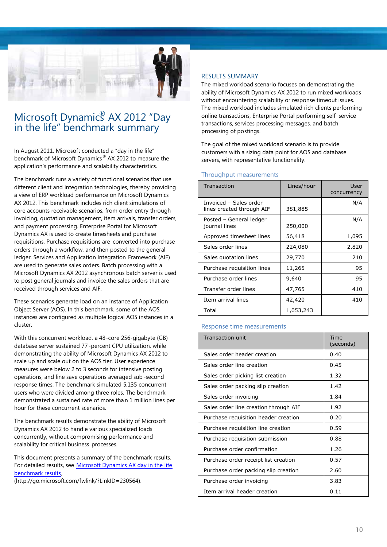

### Microsoft Dynamic<sup>®</sup> AX 2012 "Day in the life" benchmark summary

In August 2011, Microsoft conducted a "day in the life" benchmark of Microsoft Dynamics® AX 2012 to measure the application's performance and scalability characteristics.

The benchmark runs a variety of functional scenarios that use different client and integration technologies, thereby providing a view of ERP workload performance on Microsoft Dynamics AX 2012. This benchmark includes rich client simulations of core accounts receivable scenarios, from order entry through invoicing, quotation management, item arrivals, transfer orders, and payment processing. Enterprise Portal for Microsoft Dynamics AX is used to create timesheets and purchase requisitions. Purchase requisitions are converted into purchase orders through a workflow, and then posted to the general ledger. Services and Application Integration Framework (AIF) are used to generate sales orders. Batch processing with a Microsoft Dynamics AX 2012 asynchronous batch server is used to post general journals and invoice the sales orders that are received through services and AIF.

These scenarios generate load on an instance of Application Object Server (AOS). In this benchmark, some of the AOS instances are configured as multiple logical AOS instances in a cluster.

With this concurrent workload, a 48-core 256-gigabyte (GB) database server sustained 77-percent CPU utilization, while demonstrating the ability of Microsoft Dynamics AX 2012 to scale up and scale out on the AOS tier. User experience measures were below 2 to 3 seconds for intensive posting operations, and line save operations averaged sub -second response times. The benchmark simulated 5,135 concurrent users who were divided among three roles. The benchmark demonstrated a sustained rate of more than 1 million lines per hour for these concurrent scenarios.

The benchmark results demonstrate the ability of Microsoft Dynamics AX 2012 to handle various specialized loads concurrently, without compromising performance and scalability for critical business processes.

This document presents a summary of the benchmark results. For detailed results, see Microsoft Dynamics AX day in the life [benchmark](http://go.microsoft.com/fwlink/?LinkID=230564) results,

(http://go.microsoft.com/fwlink/?LinkID=230564).

#### RESULTS SUMMARY

The mixed workload scenario focuses on demonstrating the ability of Microsoft Dynamics AX 2012 to run mixed workloads without encountering scalability or response timeout issues. The mixed workload includes simulated rich clients performing online transactions, Enterprise Portal performing self-service transactions, services processing messages, and batch processing of postings.

The goal of the mixed workload scenario is to provide customers with a sizing data point for AOS and database servers, with representative functionality.

#### Throughput measurements

| Transaction                                         | Lines/hour | User<br>concurrency |
|-----------------------------------------------------|------------|---------------------|
| Invoiced - Sales order<br>lines created through AIF | 381,885    | N/A                 |
| Posted - General ledger<br>journal lines            | 250,000    | N/A                 |
| Approved timesheet lines                            | 56,418     | 1,095               |
| Sales order lines                                   | 224,080    | 2,820               |
| Sales quotation lines                               | 29,770     | 210                 |
| Purchase requisition lines                          | 11,265     | 95                  |
| Purchase order lines                                | 9,640      | 95                  |
| Transfer order lines                                | 47,765     | 410                 |
| Item arrival lines                                  | 42,420     | 410                 |
| Total                                               | 1,053,243  |                     |

#### Response time measurements

| <b>Transaction unit</b>               | Time<br>(seconds) |
|---------------------------------------|-------------------|
| Sales order header creation           | 0.40              |
| Sales order line creation             | 0.45              |
| Sales order picking list creation     | 1.32              |
| Sales order packing slip creation     | 1.42              |
| Sales order invoicing                 | 1.84              |
| Sales order line creation through AIF | 1.92              |
| Purchase requisition header creation  | 0.20              |
| Purchase requisition line creation    | 0.59              |
| Purchase requisition submission       | 0.88              |
| Purchase order confirmation           | 1.26              |
| Purchase order receipt list creation  | 0.57              |
| Purchase order packing slip creation  | 2.60              |
| Purchase order invoicing              | 3.83              |
| Item arrival header creation          | 0.11              |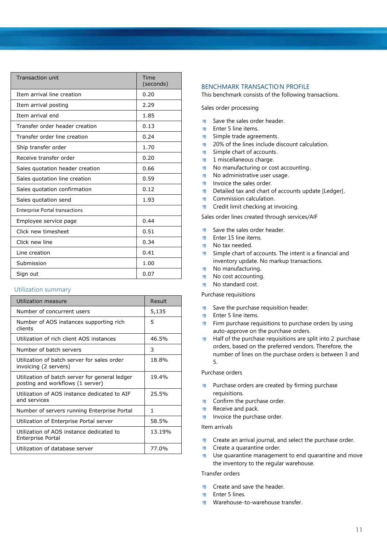| <b>Transaction unit</b>               | Time<br>(seconds) |
|---------------------------------------|-------------------|
| Item arrival line creation            | 0.20              |
| Item arrival posting                  | 2.29              |
| Item arrival end                      | 1.85              |
| Transfer order header creation        | 0.13              |
| Transfer order line creation          | 0.24              |
| Ship transfer order                   | 1.70              |
| Receive transfer order                | 0.20              |
| Sales quotation header creation       | 0.66              |
| Sales quotation line creation         | 0.59              |
| Sales quotation confirmation          | 0.12              |
| Sales quotation send                  | 1.93              |
| <b>Enterprise Portal transactions</b> |                   |
| Employee service page                 | 0.44              |
| Click new timesheet                   | 0.51              |
| Click new line                        | 0.34              |
| Line creation                         | 0.41              |
| Submission                            | 1.00              |
| Sign out                              | 0.07              |

#### Utilization summary

| Utilization measure                                                                | Result |
|------------------------------------------------------------------------------------|--------|
| Number of concurrent users                                                         | 5,135  |
| Number of AOS instances supporting rich<br>clients                                 | 5      |
| Utilization of rich client AOS instances                                           | 46.5%  |
| Number of batch servers                                                            | 3      |
| Utilization of batch server for sales order<br>invoicing (2 servers)               | 18.8%  |
| Utilization of batch server for general ledger<br>posting and workflows (1 server) | 19.4%  |
| Utilization of AOS instance dedicated to AIF<br>and services                       | 25.5%  |
| Number of servers running Enterprise Portal                                        | 1      |
| Utilization of Enterprise Portal server                                            | 58.5%  |
| Utilization of AOS instance dedicated to<br><b>Enterprise Portal</b>               | 13.19% |
| Utilization of database server                                                     | 77.0%  |

#### BENCHMARK TRANSACTION PROFILE

This benchmark consists of the following transactions.

Sales order processing

- Save the sales order header.  $\blacksquare$
- **Enter 5 line items.**
- Simple trade agreements.  $\blacksquare$
- 20% of the lines include discount calculation.  $\blacksquare$
- Simple chart of accounts.  $\blacksquare$
- $\overline{\phantom{a}}$ 1 miscellaneous charge.
- No manufacturing or cost accounting.  $\blacksquare$
- No administrative user usage.  $\blacksquare$
- Invoice the sales order.
- Detailed tax and chart of accounts update [Ledger].
- **Commission calculation.**
- **Credit limit checking at invoicing.**

Sales order lines created through services/AIF

- $\overline{\phantom{a}}$ Save the sales order header.
- Enter 15 line items.  $\overline{a}$
- No tax needed.
- Simple chart of accounts. The intent is a financial and  $\blacksquare$ inventory update. No markup transactions.
- No manufacturing.  $\overline{\phantom{a}}$
- ٠ No cost accounting.
- No standard cost. п

Purchase requisitions

- п Save the purchase requisition header.
- $\blacksquare$ Enter 5 line items.
- Firm purchase requisitions to purchase orders by using  $\mathbf{u}$ auto-approve on the purchase orders.
- Half of the purchase requisitions are split into 2 purchase orders, based on the preferred vendors. Therefore, the number of lines on the purchase orders is between 3 and 5.

#### Purchase orders

- Purchase orders are created by firming purchase m requisitions.
- Confirm the purchase order. m
- Receive and pack.  $\overline{\phantom{a}}$
- Invoice the purchase order.

#### Item arrivals

- Create an arrival journal, and select the purchase order. и
- Create a quarantine order. ×,
- Use quarantine management to end quarantine and move the inventory to the regular warehouse.

#### Transfer orders

- Create and save the header. ×
- Enter 5 lines.
- Warehouse-to-warehouse transfer.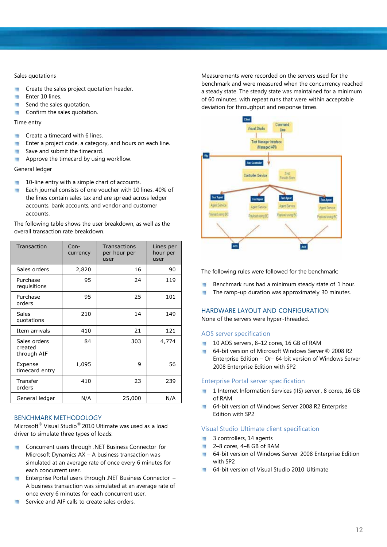#### Sales quotations

- ٠ Create the sales project quotation header.
- u Enter 10 lines.
- Send the sales quotation. ٠
- Confirm the sales quotation. п

#### Time entry

- Create a timecard with 6 lines. ٠
- Enter a project code, a category, and hours on each line. ٠
- Save and submit the timecard. п
- Approve the timecard by using workflow. п

#### General ledger

- 10-line entry with a simple chart of accounts. и
- Each journal consists of one voucher with 10 lines. 40% of п the lines contain sales tax and are spr ead across ledger accounts, bank accounts, and vendor and customer accounts.

The following table shows the user breakdown, as well as the overall transaction rate breakdown.

| Transaction                            | $Con-$<br>currency | Transactions<br>per hour per<br>user | Lines per<br>hour per<br>user |
|----------------------------------------|--------------------|--------------------------------------|-------------------------------|
| Sales orders                           | 2,820              | 16                                   | 90                            |
| Purchase<br>requisitions               | 95                 | 24                                   | 119                           |
| Purchase<br>orders                     | 95                 | 25                                   | 101                           |
| <b>Sales</b><br>quotations             | 210                | 14                                   | 149                           |
| Item arrivals                          | 410                | 21                                   | 121                           |
| Sales orders<br>created<br>through AIF | 84                 | 303                                  | 4,774                         |
| Expense<br>timecard entry              | 1,095              | 9                                    | 56                            |
| Transfer<br>orders                     | 410                | 23                                   | 239                           |
| General ledger                         | N/A                | 25,000                               | N/A                           |

#### BENCHMARK METHODOLOGY

Microsoft ® Visual Studio® 2010 Ultimate was used as a load driver to simulate three types of loads:

- Concurrent users through .NET Business Connector for  $\mathcal{L}_{\mathcal{A}}$ Microsoft Dynamics AX – A business transaction was simulated at an average rate of once every 6 minutes for each concurrent user.
- **Enterprise Portal users through .NET Business Connector** A business transaction was simulated at an average rate of once every 6 minutes for each concurrent user.
- Service and AIF calls to create sales orders. ٠

Measurements were recorded on the servers used for the benchmark and were measured when the concurrency reached a steady state. The steady state was maintained for a minimum of 60 minutes, with repeat runs that were within acceptable deviation for throughput and response times.



The following rules were followed for the benchmark:

- Benchmark runs had a minimum steady state of 1 hour. m
- The ramp-up duration was approximately 30 minutes. и

### HARDWARE LAYOUT AND CONFIGURATION

None of the servers were hyper-threaded.

#### AOS server specification

- 10 AOS servers, 8-12 cores, 16 GB of RAM
- 64-bit version of Microsoft Windows Server ® 2008 R2 Enterprise Edition – Or– 64-bit version of Windows Server 2008 Enterprise Edition with SP2

#### Enterprise Portal server specification

- 1 Internet Information Services (IIS) server, 8 cores, 16 GB of RAM
- 64-bit version of Windows Server 2008 R2 Enterprise ш Edition with SP2

#### Visual Studio Ultimate client specification

- 3 controllers, 14 agents ×
- 2–8 cores, 4–8 GB of RAM  $\overline{\phantom{a}}$
- 64-bit version of Windows Server 2008 Enterprise Edition with SP2
- **64-bit version of Visual Studio 2010 Ultimate**